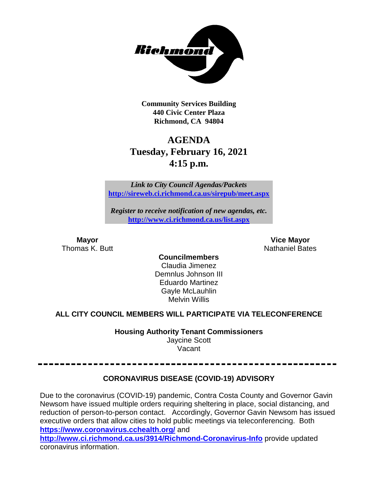

**Community Services Building 440 Civic Center Plaza Richmond, CA 94804**

# **AGENDA Tuesday, February 16, 2021 4:15 p.m.**

*Link to City Council Agendas/Packets* **<http://sireweb.ci.richmond.ca.us/sirepub/meet.aspx>**

*Register to receive notification of new agendas, etc.* **<http://www.ci.richmond.ca.us/list.aspx>**

**Mayor Vice Mayor Thomas K. Butt** Nathaniel Bates **Nathaniel Bates** 

**Councilmembers** Claudia Jimenez Demnlus Johnson III Eduardo Martinez Gayle McLauhlin Melvin Willis

### **ALL CITY COUNCIL MEMBERS WILL PARTICIPATE VIA TELECONFERENCE**

**Housing Authority Tenant Commissioners** Jaycine Scott Vacant

### **CORONAVIRUS DISEASE (COVID-19) ADVISORY**

Due to the coronavirus (COVID-19) pandemic, Contra Costa County and Governor Gavin Newsom have issued multiple orders requiring sheltering in place, social distancing, and reduction of person-to-person contact. Accordingly, Governor Gavin Newsom has issued executive orders that allow cities to hold public meetings via teleconferencing. Both **<https://www.coronavirus.cchealth.org/>** and

**<http://www.ci.richmond.ca.us/3914/Richmond-Coronavirus-Info>** provide updated coronavirus information.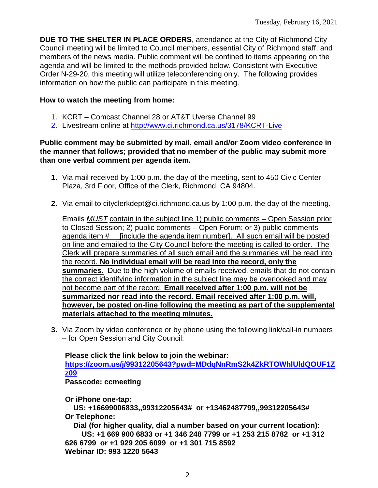**DUE TO THE SHELTER IN PLACE ORDERS**, attendance at the City of Richmond City Council meeting will be limited to Council members, essential City of Richmond staff, and members of the news media. Public comment will be confined to items appearing on the agenda and will be limited to the methods provided below. Consistent with Executive Order N-29-20, this meeting will utilize teleconferencing only. The following provides information on how the public can participate in this meeting.

### **How to watch the meeting from home:**

- 1. KCRT Comcast Channel 28 or AT&T Uverse Channel 99
- 2. Livestream online at <http://www.ci.richmond.ca.us/3178/KCRT-Live>

### **Public comment may be submitted by mail, email and/or Zoom video conference in the manner that follows; provided that no member of the public may submit more than one verbal comment per agenda item.**

- **1.** Via mail received by 1:00 p.m. the day of the meeting, sent to 450 Civic Center Plaza, 3rd Floor, Office of the Clerk, Richmond, CA 94804.
- **2.** Via email to [cityclerkdept@ci.richmond.ca.us](mailto:cityclerkdept@ci.richmond.ca.us) by 1:00 p.m. the day of the meeting.

Emails *MUST* contain in the subject line 1) public comments – Open Session prior to Closed Session; 2) public comments – Open Forum; or 3) public comments agenda item #\_\_ [include the agenda item number]. All such email will be posted on-line and emailed to the City Council before the meeting is called to order. The Clerk will prepare summaries of all such email and the summaries will be read into the record. **No individual email will be read into the record, only the summaries**. Due to the high volume of emails received, emails that do not contain the correct identifying information in the subject line may be overlooked and may not become part of the record. **Email received after 1:00 p.m. will not be summarized nor read into the record. Email received after 1:00 p.m. will, however, be posted on-line following the meeting as part of the supplemental materials attached to the meeting minutes.**

**3.** Via Zoom by video conference or by phone using the following link/call-in numbers – for Open Session and City Council:

**Please click the link below to join the webinar: [https://zoom.us/j/99312205643?pwd=MDdqNnRmS2k4ZkRTOWhlUldQOUF1Z](https://zoom.us/j/99312205643?pwd=MDdqNnRmS2k4ZkRTOWhlUldQOUF1Zz09) [z09](https://zoom.us/j/99312205643?pwd=MDdqNnRmS2k4ZkRTOWhlUldQOUF1Zz09) Passcode: ccmeeting**

**Or iPhone one-tap:**

**US: +16699006833,,99312205643# or +13462487799,,99312205643# Or Telephone:**

**Dial (for higher quality, dial a number based on your current location): US: +1 669 900 6833 or +1 346 248 7799 or +1 253 215 8782 or +1 312 626 6799 or +1 929 205 6099 or +1 301 715 8592 Webinar ID: 993 1220 5643**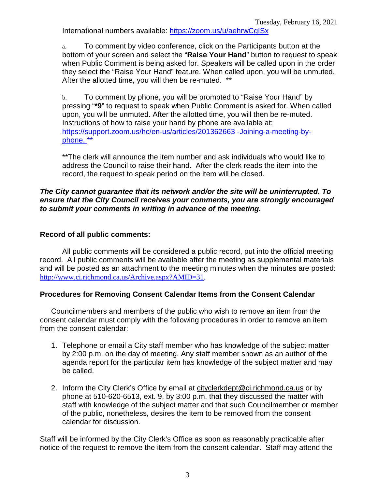International numbers available: <https://zoom.us/u/aehrwCgISx>

a. To comment by video conference, click on the Participants button at the bottom of your screen and select the "**Raise Your Hand**" button to request to speak when Public Comment is being asked for. Speakers will be called upon in the order they select the "Raise Your Hand" feature. When called upon, you will be unmuted. After the allotted time, you will then be re-muted. \*\*

b. To comment by phone, you will be prompted to "Raise Your Hand" by pressing "**\*9**" to request to speak when Public Comment is asked for. When called upon, you will be unmuted. After the allotted time, you will then be re-muted. Instructions of how to raise your hand by phone are available at: [https://support.zoom.us/hc/en-us/articles/201362663 -Joining-a-meeting-by](https://support.zoom.us/hc/en-us/articles/201362663)[phone.](https://support.zoom.us/hc/en-us/articles/201362663) \*\*

\*\*The clerk will announce the item number and ask individuals who would like to address the Council to raise their hand. After the clerk reads the item into the record, the request to speak period on the item will be closed.

### *The City cannot guarantee that its network and/or the site will be uninterrupted. To ensure that the City Council receives your comments, you are strongly encouraged to submit your comments in writing in advance of the meeting.*

### **Record of all public comments:**

All public comments will be considered a public record, put into the official meeting record. All public comments will be available after the meeting as supplemental materials and will be posted as an attachment to the meeting minutes when the minutes are posted: [http://www.ci.richmond.ca.us/Archive.aspx?AMID=31.](http://www.ci.richmond.ca.us/Archive.aspx?AMID=31)

### **Procedures for Removing Consent Calendar Items from the Consent Calendar**

Councilmembers and members of the public who wish to remove an item from the consent calendar must comply with the following procedures in order to remove an item from the consent calendar:

- 1. Telephone or email a City staff member who has knowledge of the subject matter by 2:00 p.m. on the day of meeting. Any staff member shown as an author of the agenda report for the particular item has knowledge of the subject matter and may be called.
- 2. Inform the City Clerk's Office by email at [cityclerkdept@ci.richmond.ca.us](mailto:cityclerkdept@ci.richmond.ca.us) or by phone at 510-620-6513, ext. 9, by 3:00 p.m. that they discussed the matter with staff with knowledge of the subject matter and that such Councilmember or member of the public, nonetheless, desires the item to be removed from the consent calendar for discussion.

Staff will be informed by the City Clerk's Office as soon as reasonably practicable after notice of the request to remove the item from the consent calendar. Staff may attend the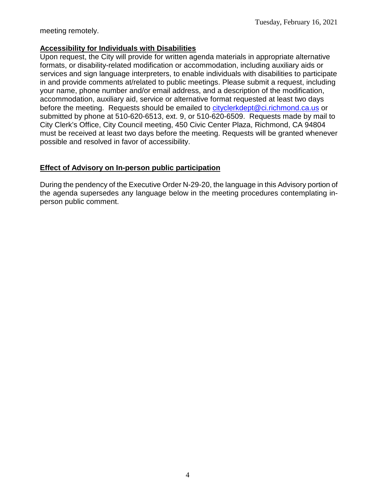meeting remotely.

### **Accessibility for Individuals with Disabilities**

Upon request, the City will provide for written agenda materials in appropriate alternative formats, or disability-related modification or accommodation, including auxiliary aids or services and sign language interpreters, to enable individuals with disabilities to participate in and provide comments at/related to public meetings. Please submit a request, including your name, phone number and/or email address, and a description of the modification, accommodation, auxiliary aid, service or alternative format requested at least two days before the meeting. Requests should be emailed to [cityclerkdept@ci.richmond.ca.us](mailto:cityclerkdept@ci.richmond.ca.us) or submitted by phone at 510-620-6513, ext. 9, or 510-620-6509. Requests made by mail to City Clerk's Office, City Council meeting, 450 Civic Center Plaza, Richmond, CA 94804 must be received at least two days before the meeting. Requests will be granted whenever possible and resolved in favor of accessibility.

### **Effect of Advisory on In-person public participation**

During the pendency of the Executive Order N-29-20, the language in this Advisory portion of the agenda supersedes any language below in the meeting procedures contemplating inperson public comment.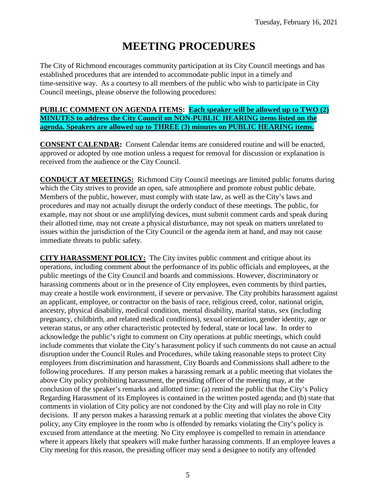# **MEETING PROCEDURES**

The City of Richmond encourages community participation at its City Council meetings and has established procedures that are intended to accommodate public input in a timely and time-sensitive way. As a courtesy to all members of the public who wish to participate in City Council meetings, please observe the following procedures:

### **PUBLIC COMMENT ON AGENDA ITEMS: Each speaker will be allowed up to TWO (2) MINUTES to address the City Council on NON-PUBLIC HEARING items listed on the agenda. Speakers are allowed up to THREE (3) minutes on PUBLIC HEARING items.**

**CONSENT CALENDAR:** Consent Calendar items are considered routine and will be enacted, approved or adopted by one motion unless a request for removal for discussion or explanation is received from the audience or the City Council.

**CONDUCT AT MEETINGS:** Richmond City Council meetings are limited public forums during which the City strives to provide an open, safe atmosphere and promote robust public debate. Members of the public, however, must comply with state law, as well as the City's laws and procedures and may not actually disrupt the orderly conduct of these meetings. The public, for example, may not shout or use amplifying devices, must submit comment cards and speak during their allotted time, may not create a physical disturbance, may not speak on matters unrelated to issues within the jurisdiction of the City Council or the agenda item at hand, and may not cause immediate threats to public safety.

**CITY HARASSMENT POLICY:** The City invites public comment and critique about its operations, including comment about the performance of its public officials and employees, at the public meetings of the City Council and boards and commissions. However, discriminatory or harassing comments about or in the presence of City employees, even comments by third parties, may create a hostile work environment, if severe or pervasive. The City prohibits harassment against an applicant, employee, or contractor on the basis of race, religious creed, color, national origin, ancestry, physical disability, medical condition, mental disability, marital status, sex (including pregnancy, childbirth, and related medical conditions), sexual orientation, gender identity, age or veteran status, or any other characteristic protected by federal, state or local law. In order to acknowledge the public's right to comment on City operations at public meetings, which could include comments that violate the City's harassment policy if such comments do not cause an actual disruption under the Council Rules and Procedures, while taking reasonable steps to protect City employees from discrimination and harassment, City Boards and Commissions shall adhere to the following procedures. If any person makes a harassing remark at a public meeting that violates the above City policy prohibiting harassment, the presiding officer of the meeting may, at the conclusion of the speaker's remarks and allotted time: (a) remind the public that the City's Policy Regarding Harassment of its Employees is contained in the written posted agenda; and (b) state that comments in violation of City policy are not condoned by the City and will play no role in City decisions. If any person makes a harassing remark at a public meeting that violates the above City policy, any City employee in the room who is offended by remarks violating the City's policy is excused from attendance at the meeting. No City employee is compelled to remain in attendance where it appears likely that speakers will make further harassing comments. If an employee leaves a City meeting for this reason, the presiding officer may send a designee to notify any offended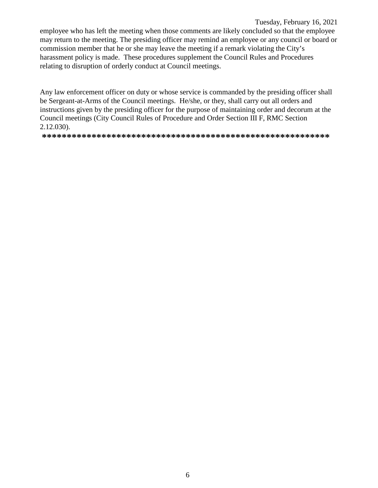Tuesday, February 16, 2021 employee who has left the meeting when those comments are likely concluded so that the employee may return to the meeting. The presiding officer may remind an employee or any council or board or commission member that he or she may leave the meeting if a remark violating the City's harassment policy is made. These procedures supplement the Council Rules and Procedures relating to disruption of orderly conduct at Council meetings.

Any law enforcement officer on duty or whose service is commanded by the presiding officer shall be Sergeant-at-Arms of the Council meetings. He/she, or they, shall carry out all orders and instructions given by the presiding officer for the purpose of maintaining order and decorum at the Council meetings (City Council Rules of Procedure and Order Section III F, RMC Section 2.12.030).

**\*\*\*\*\*\*\*\*\*\*\*\*\*\*\*\*\*\*\*\*\*\*\*\*\*\*\*\*\*\*\*\*\*\*\*\*\*\*\*\*\*\*\*\*\*\*\*\*\*\*\*\*\*\*\*\*\*\***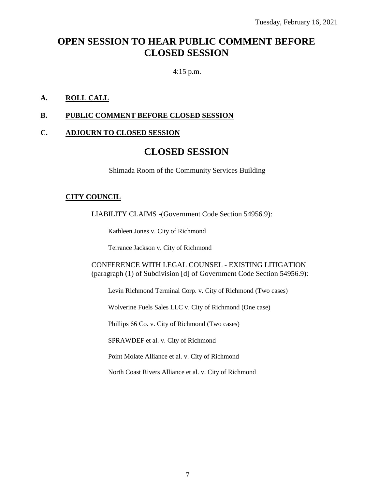## **OPEN SESSION TO HEAR PUBLIC COMMENT BEFORE CLOSED SESSION**

### 4:15 p.m.

### **A. ROLL CALL**

### **B. PUBLIC COMMENT BEFORE CLOSED SESSION**

### **C. ADJOURN TO CLOSED SESSION**

### **CLOSED SESSION**

Shimada Room of the Community Services Building

### **CITY COUNCIL**

LIABILITY CLAIMS -(Government Code Section 54956.9):

Kathleen Jones v. City of Richmond

Terrance Jackson v. City of Richmond

CONFERENCE WITH LEGAL COUNSEL - EXISTING LITIGATION (paragraph (1) of Subdivision [d] of Government Code Section 54956.9):

Levin Richmond Terminal Corp. v. City of Richmond (Two cases)

Wolverine Fuels Sales LLC v. City of Richmond (One case)

Phillips 66 Co. v. City of Richmond (Two cases)

SPRAWDEF et al. v. City of Richmond

Point Molate Alliance et al. v. City of Richmond

North Coast Rivers Alliance et al. v. City of Richmond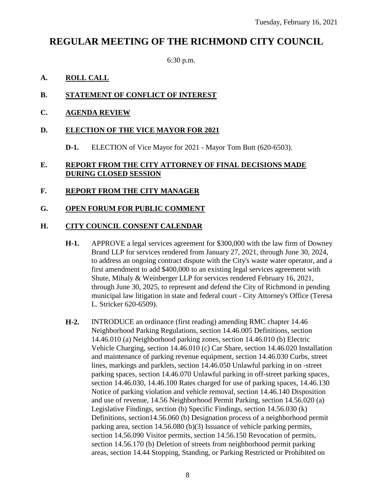## **REGULAR MEETING OF THE RICHMOND CITY COUNCIL**

6:30 p.m.

### **A. ROLL CALL**

### **B. STATEMENT OF CONFLICT OF INTEREST**

### **C. AGENDA REVIEW**

### **D. ELECTION OF THE VICE MAYOR FOR 2021**

**D-1.** ELECTION of Vice Mayor for 2021 - Mayor Tom Butt (620-6503).

### **E. REPORT FROM THE CITY ATTORNEY OF FINAL DECISIONS MADE DURING CLOSED SESSION**

### **F. REPORT FROM THE CITY MANAGER**

### **G. OPEN FORUM FOR PUBLIC COMMENT**

### **H. CITY COUNCIL CONSENT CALENDAR**

- **H-1.** APPROVE a legal services agreement for \$300,000 with the law firm of Downey Brand LLP for services rendered from January 27, 2021, through June 30, 2024, to address an ongoing contract dispute with the City's waste water operator, and a first amendment to add \$400,000 to an existing legal services agreement with Shute, Mihaly & Weinberger LLP for services rendered February 16, 2021, through June 30, 2025, to represent and defend the City of Richmond in pending municipal law litigation in state and federal court - City Attorney's Office (Teresa L. Stricker 620-6509).
- **H-2.** INTRODUCE an ordinance (first reading) amending RMC chapter 14.46 Neighborhood Parking Regulations, section 14.46.005 Definitions, section 14.46.010 (a) Neighborhood parking zones, section 14.46.010 (b) Electric Vehicle Charging, section 14.46.010 (c) Car Share, section 14.46.020 Installation and maintenance of parking revenue equipment, section 14.46.030 Curbs, street lines, markings and parklets, section 14.46.050 Unlawful parking in on -street parking spaces, section 14.46.070 Unlawful parking in off-street parking spaces, section 14.46.030, 14.46.100 Rates charged for use of parking spaces, 14.46.130 Notice of parking violation and vehicle removal, section 14.46.140 Disposition and use of revenue, 14.56 Neighborhood Permit Parking, section 14.56.020 (a) Legislative Findings, section (b) Specific Findings, section 14.56.030 (k) Definitions, section14.56.060 (b) Designation process of a neighborhood permit parking area, section 14.56.080 (b)(3) Issuance of vehicle parking permits, section 14.56.090 Visitor permits, section 14.56.150 Revocation of permits, section 14.56.170 (b) Deletion of streets from neighborhood permit parking areas, section 14.44 Stopping, Standing, or Parking Restricted or Prohibited on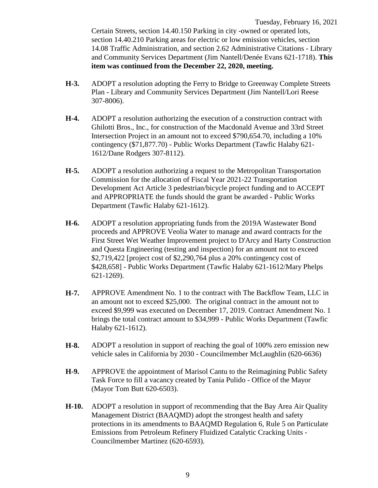Tuesday, February 16, 2021 Certain Streets, section 14.40.150 Parking in city -owned or operated lots, section 14.40.210 Parking areas for electric or low emission vehicles, section 14.08 Traffic Administration, and section 2.62 Administrative Citations - Library and Community Services Department (Jim Nantell/Denée Evans 621-1718). **This item was continued from the December 22, 2020, meeting.**

- **H-3.** ADOPT a resolution adopting the Ferry to Bridge to Greenway Complete Streets Plan - Library and Community Services Department (Jim Nantell/Lori Reese 307-8006).
- **H-4.** ADOPT a resolution authorizing the execution of a construction contract with Ghilotti Bros., Inc., for construction of the Macdonald Avenue and 33rd Street Intersection Project in an amount not to exceed \$790,654.70, including a 10% contingency (\$71,877.70) - Public Works Department (Tawfic Halaby 621- 1612/Dane Rodgers 307-8112).
- **H-5.** ADOPT a resolution authorizing a request to the Metropolitan Transportation Commission for the allocation of Fiscal Year 2021-22 Transportation Development Act Article 3 pedestrian/bicycle project funding and to ACCEPT and APPROPRIATE the funds should the grant be awarded - Public Works Department (Tawfic Halaby 621-1612).
- **H-6.** ADOPT a resolution appropriating funds from the 2019A Wastewater Bond proceeds and APPROVE Veolia Water to manage and award contracts for the First Street Wet Weather Improvement project to D'Arcy and Harty Construction and Questa Engineering (testing and inspection) for an amount not to exceed \$2,719,422 [project cost of \$2,290,764 plus a 20% contingency cost of \$428,658] - Public Works Department (Tawfic Halaby 621-1612/Mary Phelps 621-1269).
- **H-7.** APPROVE Amendment No. 1 to the contract with The Backflow Team, LLC in an amount not to exceed \$25,000. The original contract in the amount not to exceed \$9,999 was executed on December 17, 2019. Contract Amendment No. 1 brings the total contract amount to \$34,999 - Public Works Department (Tawfic Halaby 621-1612).
- **H-8.** ADOPT a resolution in support of reaching the goal of 100% zero emission new vehicle sales in California by 2030 - Councilmember McLaughlin (620-6636)
- **H-9.** APPROVE the appointment of Marisol Cantu to the Reimagining Public Safety Task Force to fill a vacancy created by Tania Pulido - Office of the Mayor (Mayor Tom Butt 620-6503).
- **H-10.** ADOPT a resolution in support of recommending that the Bay Area Air Quality Management District (BAAQMD) adopt the strongest health and safety protections in its amendments to BAAQMD Regulation 6, Rule 5 on Particulate Emissions from Petroleum Refinery Fluidized Catalytic Cracking Units - Councilmember Martinez (620-6593).